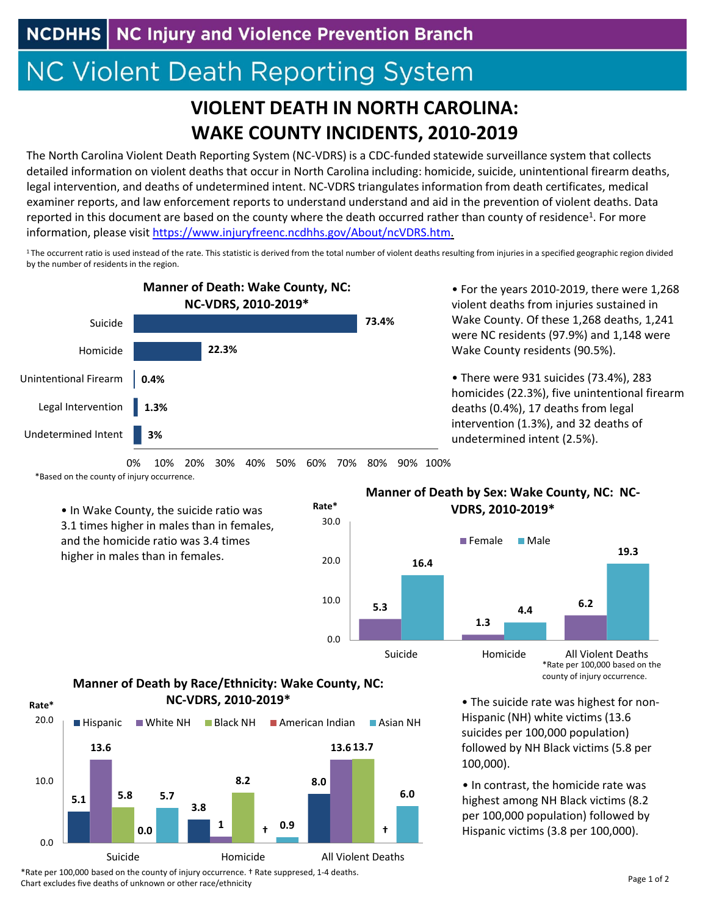NCDHHS | NC Injury and Violence Prevention Branch

## **NC Violent Death Reporting System**

## **VIOLENT DEATH IN NORTH CAROLINA: WAKE COUNTY INCIDENTS, 2010‐2019**

The North Carolina Violent Death Reporting System (NC‐VDRS) is a CDC‐funded statewide surveillance system that collects detailed information on violent deaths that occur in North Carolina including: homicide, suicide, unintentional firearm deaths, legal intervention, and deaths of undetermined intent. NC‐VDRS triangulates information from death certificates, medical examiner reports, and law enforcement reports to understand understand and aid in the prevention of violent deaths. Data reported in this document are based on the county where the death occurred rather than county of residence<sup>1</sup>. For more information, please visit https://www.injuryfreenc.ncdhhs.gov/About/ncVDRS.htm.

<sup>1</sup>The occurrent ratio is used instead of the rate. This statistic is derived from the total number of violent deaths resulting from injuries in a specified geographic region divided by the number of residents in the region.



• For the years 2010‐2019, there were 1,268 violent deaths from injuries sustained in Wake County. Of these 1,268 deaths, 1,241 were NC residents (97.9%) and 1,148 were Wake County residents (90.5%).

• There were 931 suicides (73.4%), 283 homicides (22.3%), five unintentional firearm deaths (0.4%), 17 deaths from legal intervention (1.3%), and 32 deaths of undetermined intent (2.5%).

• The suicide rate was highest for non‐ Hispanic (NH) white victims (13.6 suicides per 100,000 population) followed by NH Black victims (5.8 per

• In contrast, the homicide rate was highest among NH Black victims (8.2 per 100,000 population) followed by Hispanic victims (3.8 per 100,000).

0% 10% 20% 30% 40% 50% 60% 70% 80% 90% 100%

\*Based on the county of injury occurrence.

• In Wake County, the suicide ratio was 3.1 times higher in males than in females, and the homicide ratio was 3.4 times higher in males than in females.



**Rate\***

## **Manner of Death by Sex: Wake County, NC: NC‐ VDRS, 2010‐2019\***



100,000).

## **Manner of Death by Race/Ethnicity: Wake County, NC: NC‐VDRS, 2010‐2019\***



\*Rate per 100,000 based on the county of injury occurrence. † Rate suppresed, 1‐4 deaths. Chart excludes five deaths of unknown or other race/ethnicity

Page 1 of 2